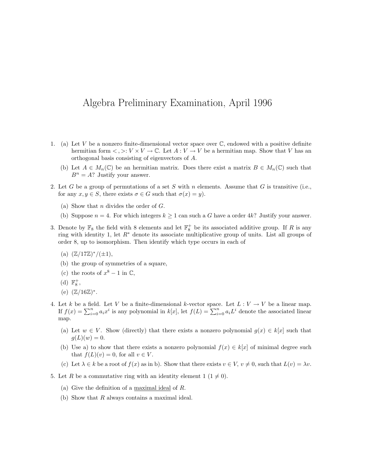## Algebra Preliminary Examination, April 1996

- 1. (a) Let V be a nonzero finite-dimensional vector space over  $\mathbb{C}$ , endowed with a positive definite hermitian form  $\langle , \rangle : V \times V \to \mathbb{C}$ . Let  $A : V \to V$  be a hermitian map. Show that V has an orthogonal basis consisting of eigenvectors of A.
	- (b) Let  $A \in M_n(\mathbb{C})$  be an hermitian matrix. Does there exist a matrix  $B \in M_n(\mathbb{C})$  such that  $B^n = A$ ? Justify your answer.
- 2. Let G be a group of permutations of a set S with n elements. Assume that G is transitive (i.e., for any  $x, y \in S$ , there exists  $\sigma \in G$  such that  $\sigma(x) = y$ .
	- (a) Show that *n* divides the order of  $G$ .
	- (b) Suppose  $n = 4$ . For which integers  $k \ge 1$  can such a G have a order 4k? Justify your answer.
- 3. Denote by  $\mathbb{F}_8$  the field with 8 elements and let  $\mathbb{F}_8^+$  be its associated additive group. If R is any ring with identity 1, let R<sup>∗</sup> denote its associate multiplicative group of units. List all groups of order 8, up to isomorphism. Then identify which type occurs in each of
	- (a)  $(\mathbb{Z}/17\mathbb{Z})^*/(\pm 1),$
	- (b) the group of symmetries of a square,
	- (c) the roots of  $x^8 1$  in  $\mathbb{C}$ ,
	- (d)  $\mathbb{F}_8^+$ ,
	- (e)  $(\mathbb{Z}/16\mathbb{Z})^*$ .
- 4. Let k be a field. Let V be a finite-dimensional k-vector space. Let  $L: V \to V$  be a linear map. If  $f(x) = \sum_{i=0}^{n} a_i x^i$  is any polynomial in  $k[x]$ , let  $f(L) = \sum_{i=0}^{n} a_i L^i$  denote the associated linear map.
	- (a) Let  $w \in V$ . Show (directly) that there exists a nonzero polynomial  $g(x) \in k[x]$  such that  $g(L)(w) = 0.$
	- (b) Use a) to show that there exists a nonzero polynomial  $f(x) \in k[x]$  of minimal degree such that  $f(L)(v) = 0$ , for all  $v \in V$ .
	- (c) Let  $\lambda \in k$  be a root of  $f(x)$  as in b). Show that there exists  $v \in V$ ,  $v \neq 0$ , such that  $L(v) = \lambda v$ .
- 5. Let R be a commutative ring with an identity element  $1 (1 \neq 0)$ .
	- (a) Give the definition of a maximal ideal of R.
	- (b) Show that R always contains a maximal ideal.